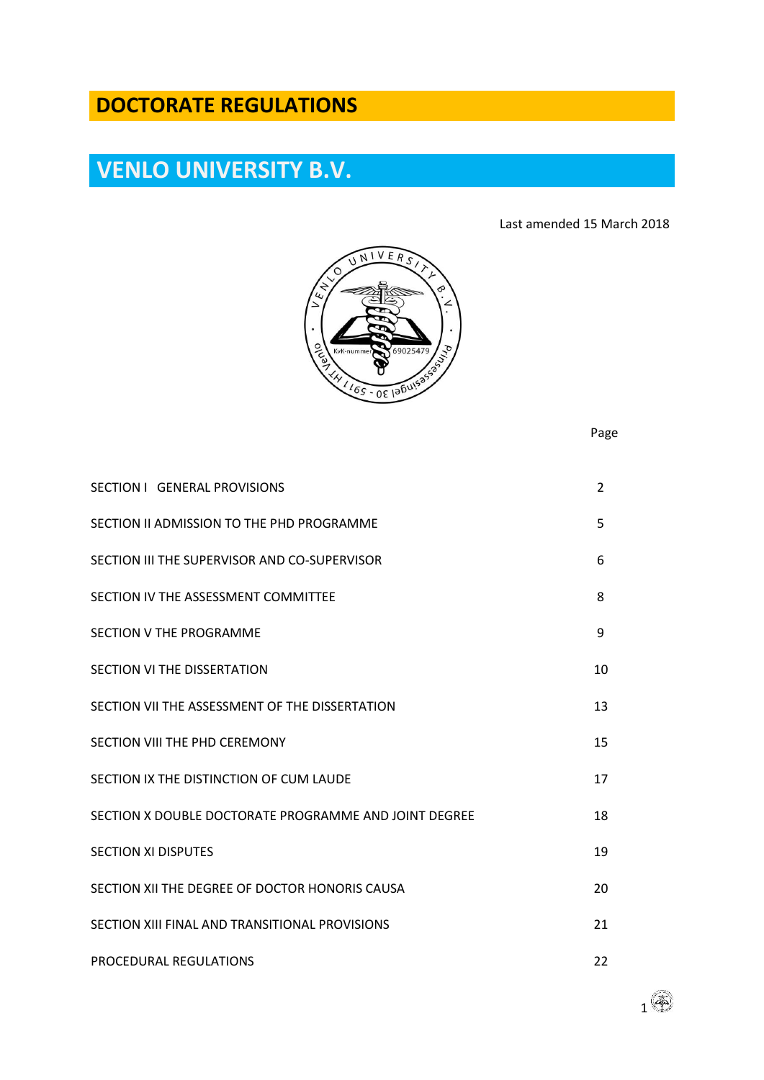## **DOCTORATE REGULATIONS**

# **VENLO UNIVERSITY B.V.**

Last amended 15 March 2018



Page

| SECTION I GENERAL PROVISIONS                          | $\overline{2}$ |
|-------------------------------------------------------|----------------|
| SECTION II ADMISSION TO THE PHD PROGRAMME             | 5              |
| SECTION III THE SUPERVISOR AND CO-SUPERVISOR          | 6              |
| SECTION IV THE ASSESSMENT COMMITTEE                   | 8              |
| SECTION V THE PROGRAMME                               | 9              |
| <b>SECTION VI THE DISSERTATION</b>                    | 10             |
| SECTION VII THE ASSESSMENT OF THE DISSERTATION        | 13             |
| <b>SECTION VIII THE PHD CEREMONY</b>                  | 15             |
| SECTION IX THE DISTINCTION OF CUM LAUDE               | 17             |
| SECTION X DOUBLE DOCTORATE PROGRAMME AND JOINT DEGREE | 18             |
| <b>SECTION XI DISPUTES</b>                            | 19             |
| SECTION XII THE DEGREE OF DOCTOR HONORIS CAUSA        | 20             |
| SECTION XIII FINAL AND TRANSITIONAL PROVISIONS        | 21             |
| PROCEDURAL REGULATIONS                                | 22             |

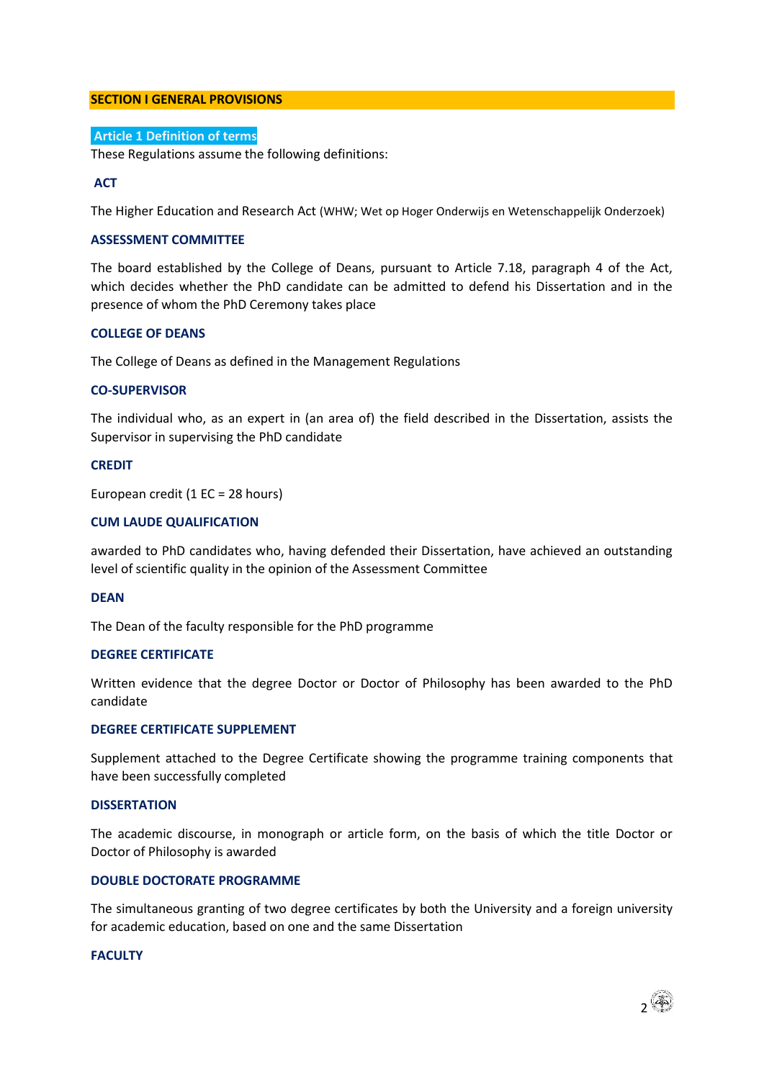#### **SECTION I GENERAL PROVISIONS**

### **Article 1 Definition of terms**

These Regulations assume the following definitions:

#### **ACT**

The Higher Education and Research Act (WHW; Wet op Hoger Onderwijs en Wetenschappelijk Onderzoek)

#### **ASSESSMENT COMMITTEE**

The board established by the College of Deans, pursuant to Article 7.18, paragraph 4 of the Act, which decides whether the PhD candidate can be admitted to defend his Dissertation and in the presence of whom the PhD Ceremony takes place

#### **COLLEGE OF DEANS**

The College of Deans as defined in the Management Regulations

#### **CO-SUPERVISOR**

The individual who, as an expert in (an area of) the field described in the Dissertation, assists the Supervisor in supervising the PhD candidate

#### **CREDIT**

European credit (1 EC = 28 hours)

#### **CUM LAUDE QUALIFICATION**

awarded to PhD candidates who, having defended their Dissertation, have achieved an outstanding level of scientific quality in the opinion of the Assessment Committee

#### **DEAN**

The Dean of the faculty responsible for the PhD programme

#### **DEGREE CERTIFICATE**

Written evidence that the degree Doctor or Doctor of Philosophy has been awarded to the PhD candidate

#### **DEGREE CERTIFICATE SUPPLEMENT**

Supplement attached to the Degree Certificate showing the programme training components that have been successfully completed

#### **DISSERTATION**

The academic discourse, in monograph or article form, on the basis of which the title Doctor or Doctor of Philosophy is awarded

#### **DOUBLE DOCTORATE PROGRAMME**

The simultaneous granting of two degree certificates by both the University and a foreign university for academic education, based on one and the same Dissertation

#### **FACULTY**

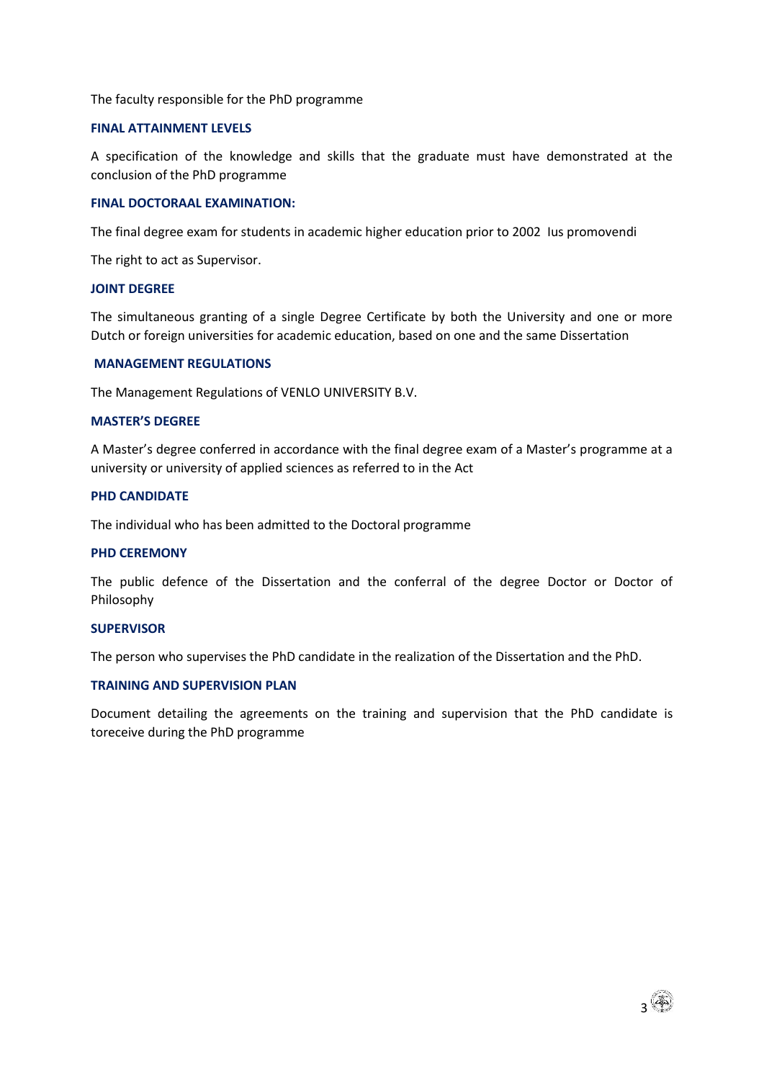#### The faculty responsible for the PhD programme

#### **FINAL ATTAINMENT LEVELS**

A specification of the knowledge and skills that the graduate must have demonstrated at the conclusion of the PhD programme

#### **FINAL DOCTORAAL EXAMINATION:**

The final degree exam for students in academic higher education prior to 2002 Ius promovendi

The right to act as Supervisor.

#### **JOINT DEGREE**

The simultaneous granting of a single Degree Certificate by both the University and one or more Dutch or foreign universities for academic education, based on one and the same Dissertation

#### **MANAGEMENT REGULATIONS**

The Management Regulations of VENLO UNIVERSITY B.V.

#### **MASTER'S DEGREE**

A Master's degree conferred in accordance with the final degree exam of a Master's programme at a university or university of applied sciences as referred to in the Act

#### **PHD CANDIDATE**

The individual who has been admitted to the Doctoral programme

#### **PHD CEREMONY**

The public defence of the Dissertation and the conferral of the degree Doctor or Doctor of Philosophy

#### **SUPERVISOR**

The person who supervises the PhD candidate in the realization of the Dissertation and the PhD.

#### **TRAINING AND SUPERVISION PLAN**

Document detailing the agreements on the training and supervision that the PhD candidate is toreceive during the PhD programme

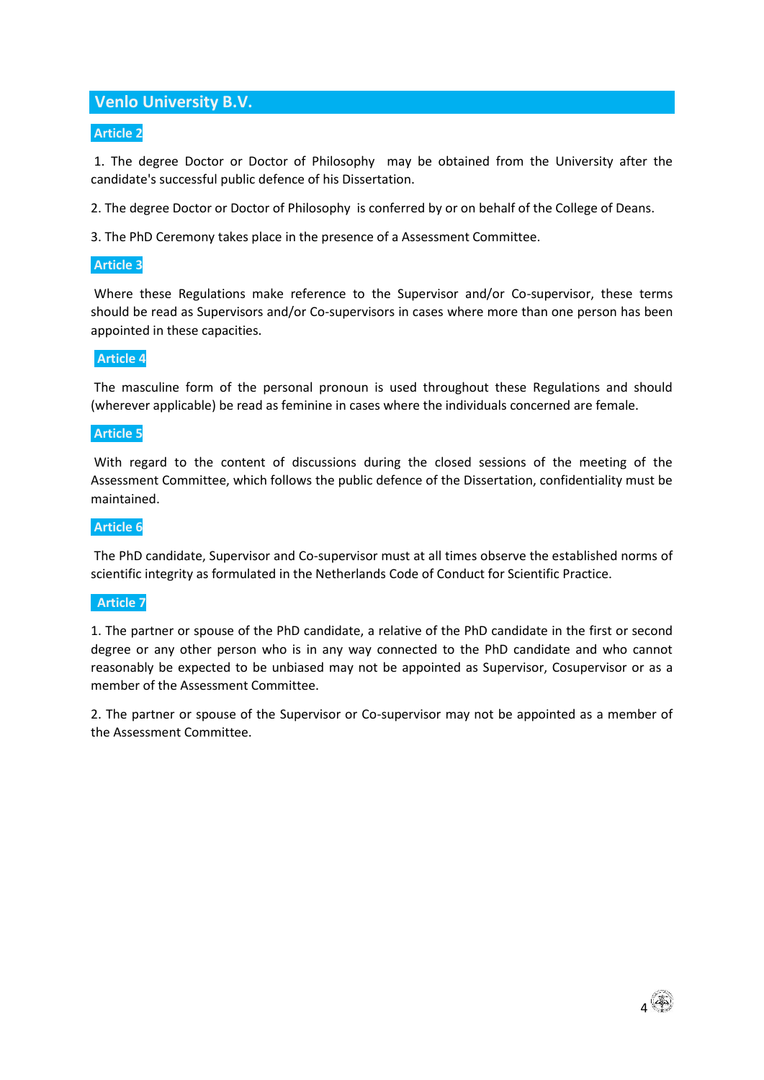## **Venlo University B.V.**

## **Article 2**

1. The degree Doctor or Doctor of Philosophy may be obtained from the University after the candidate's successful public defence of his Dissertation.

2. The degree Doctor or Doctor of Philosophy is conferred by or on behalf of the College of Deans.

3. The PhD Ceremony takes place in the presence of a Assessment Committee.

## **Article 3**

Where these Regulations make reference to the Supervisor and/or Co-supervisor, these terms should be read as Supervisors and/or Co-supervisors in cases where more than one person has been appointed in these capacities.

## **Article 4**

The masculine form of the personal pronoun is used throughout these Regulations and should (wherever applicable) be read as feminine in cases where the individuals concerned are female.

## **Article 5**

With regard to the content of discussions during the closed sessions of the meeting of the Assessment Committee, which follows the public defence of the Dissertation, confidentiality must be maintained.

## **Article 6**

The PhD candidate, Supervisor and Co-supervisor must at all times observe the established norms of scientific integrity as formulated in the Netherlands Code of Conduct for Scientific Practice.

## **Article 7**

1. The partner or spouse of the PhD candidate, a relative of the PhD candidate in the first or second degree or any other person who is in any way connected to the PhD candidate and who cannot reasonably be expected to be unbiased may not be appointed as Supervisor, Cosupervisor or as a member of the Assessment Committee.

2. The partner or spouse of the Supervisor or Co-supervisor may not be appointed as a member of the Assessment Committee.

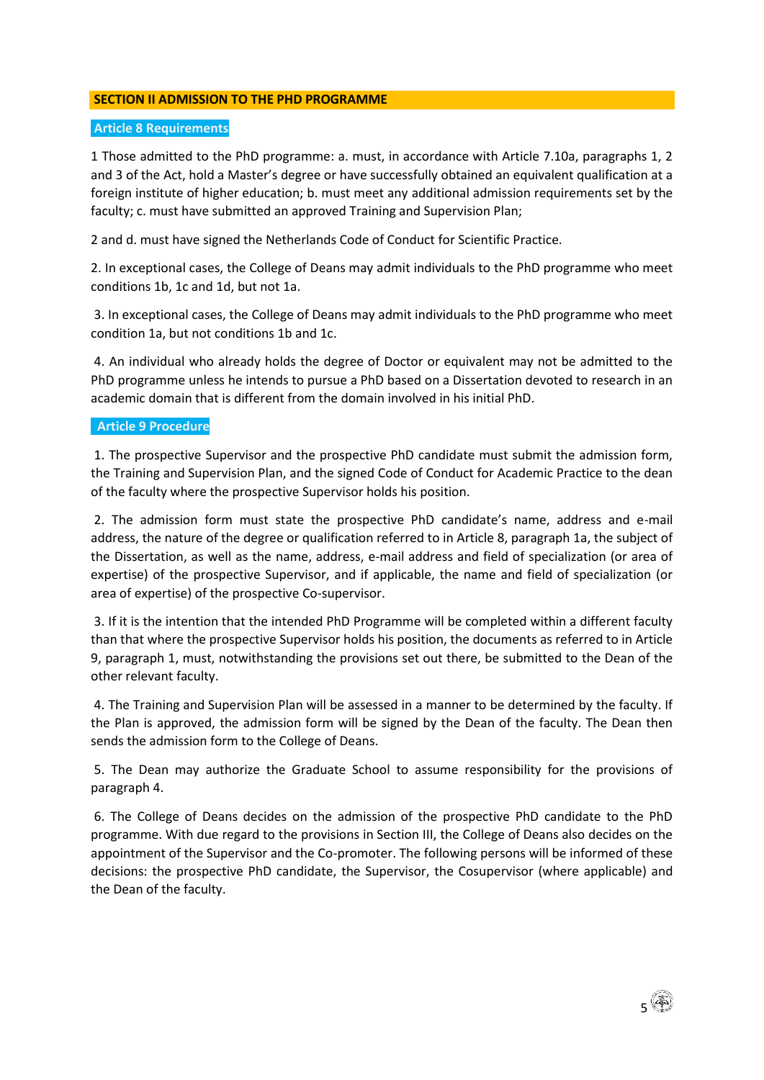## **SECTION II ADMISSION TO THE PHD PROGRAMME**

## **Article 8 Requirements**

1 Those admitted to the PhD programme: a. must, in accordance with Article 7.10a, paragraphs 1, 2 and 3 of the Act, hold a Master's degree or have successfully obtained an equivalent qualification at a foreign institute of higher education; b. must meet any additional admission requirements set by the faculty; c. must have submitted an approved Training and Supervision Plan;

2 and d. must have signed the Netherlands Code of Conduct for Scientific Practice.

2. In exceptional cases, the College of Deans may admit individuals to the PhD programme who meet conditions 1b, 1c and 1d, but not 1a.

3. In exceptional cases, the College of Deans may admit individuals to the PhD programme who meet condition 1a, but not conditions 1b and 1c.

4. An individual who already holds the degree of Doctor or equivalent may not be admitted to the PhD programme unless he intends to pursue a PhD based on a Dissertation devoted to research in an academic domain that is different from the domain involved in his initial PhD.

## **Article 9 Procedure**

1. The prospective Supervisor and the prospective PhD candidate must submit the admission form, the Training and Supervision Plan, and the signed Code of Conduct for Academic Practice to the dean of the faculty where the prospective Supervisor holds his position.

2. The admission form must state the prospective PhD candidate's name, address and e-mail address, the nature of the degree or qualification referred to in Article 8, paragraph 1a, the subject of the Dissertation, as well as the name, address, e-mail address and field of specialization (or area of expertise) of the prospective Supervisor, and if applicable, the name and field of specialization (or area of expertise) of the prospective Co-supervisor.

3. If it is the intention that the intended PhD Programme will be completed within a different faculty than that where the prospective Supervisor holds his position, the documents as referred to in Article 9, paragraph 1, must, notwithstanding the provisions set out there, be submitted to the Dean of the other relevant faculty.

4. The Training and Supervision Plan will be assessed in a manner to be determined by the faculty. If the Plan is approved, the admission form will be signed by the Dean of the faculty. The Dean then sends the admission form to the College of Deans.

5. The Dean may authorize the Graduate School to assume responsibility for the provisions of paragraph 4.

6. The College of Deans decides on the admission of the prospective PhD candidate to the PhD programme. With due regard to the provisions in Section III, the College of Deans also decides on the appointment of the Supervisor and the Co-promoter. The following persons will be informed of these decisions: the prospective PhD candidate, the Supervisor, the Cosupervisor (where applicable) and the Dean of the faculty.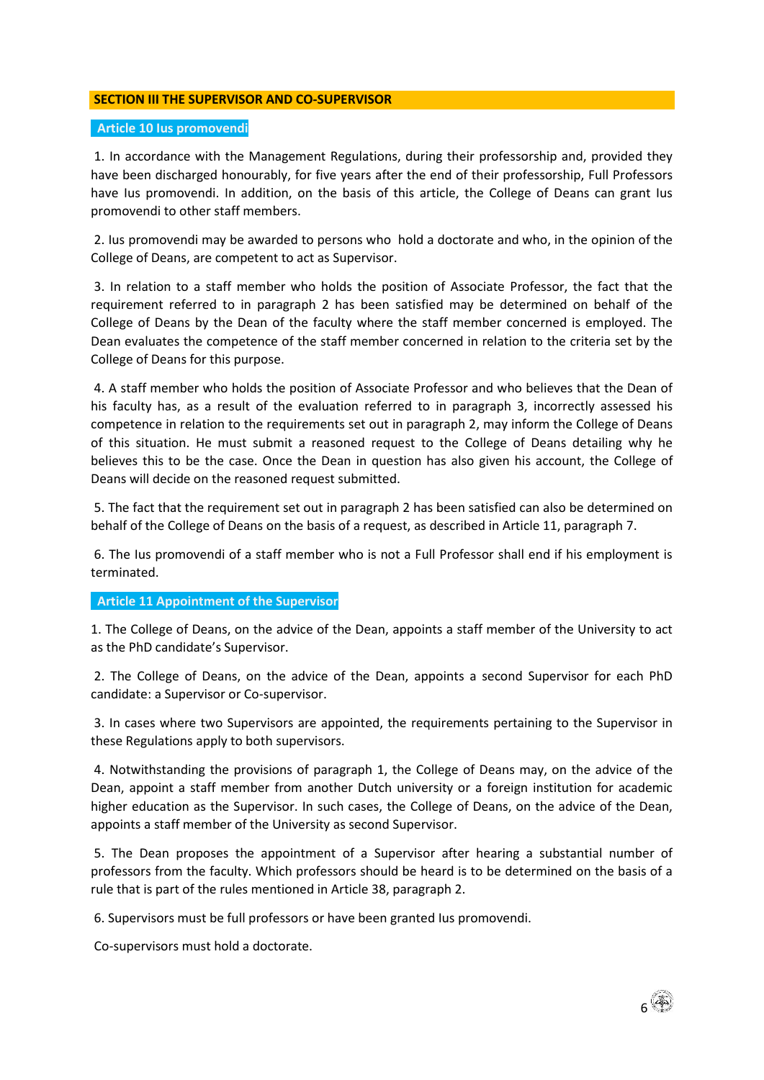## **SECTION III THE SUPERVISOR AND CO-SUPERVISOR**

#### **Article 10 Ius promovendi**

1. In accordance with the Management Regulations, during their professorship and, provided they have been discharged honourably, for five years after the end of their professorship, Full Professors have Ius promovendi. In addition, on the basis of this article, the College of Deans can grant Ius promovendi to other staff members.

2. Ius promovendi may be awarded to persons who hold a doctorate and who, in the opinion of the College of Deans, are competent to act as Supervisor.

3. In relation to a staff member who holds the position of Associate Professor, the fact that the requirement referred to in paragraph 2 has been satisfied may be determined on behalf of the College of Deans by the Dean of the faculty where the staff member concerned is employed. The Dean evaluates the competence of the staff member concerned in relation to the criteria set by the College of Deans for this purpose.

4. A staff member who holds the position of Associate Professor and who believes that the Dean of his faculty has, as a result of the evaluation referred to in paragraph 3, incorrectly assessed his competence in relation to the requirements set out in paragraph 2, may inform the College of Deans of this situation. He must submit a reasoned request to the College of Deans detailing why he believes this to be the case. Once the Dean in question has also given his account, the College of Deans will decide on the reasoned request submitted.

5. The fact that the requirement set out in paragraph 2 has been satisfied can also be determined on behalf of the College of Deans on the basis of a request, as described in Article 11, paragraph 7.

6. The Ius promovendi of a staff member who is not a Full Professor shall end if his employment is terminated.

## **Article 11 Appointment of the Supervisor**

1. The College of Deans, on the advice of the Dean, appoints a staff member of the University to act as the PhD candidate's Supervisor.

2. The College of Deans, on the advice of the Dean, appoints a second Supervisor for each PhD candidate: a Supervisor or Co-supervisor.

3. In cases where two Supervisors are appointed, the requirements pertaining to the Supervisor in these Regulations apply to both supervisors.

4. Notwithstanding the provisions of paragraph 1, the College of Deans may, on the advice of the Dean, appoint a staff member from another Dutch university or a foreign institution for academic higher education as the Supervisor. In such cases, the College of Deans, on the advice of the Dean, appoints a staff member of the University as second Supervisor.

5. The Dean proposes the appointment of a Supervisor after hearing a substantial number of professors from the faculty. Which professors should be heard is to be determined on the basis of a rule that is part of the rules mentioned in Article 38, paragraph 2.

6. Supervisors must be full professors or have been granted Ius promovendi.

Co-supervisors must hold a doctorate.

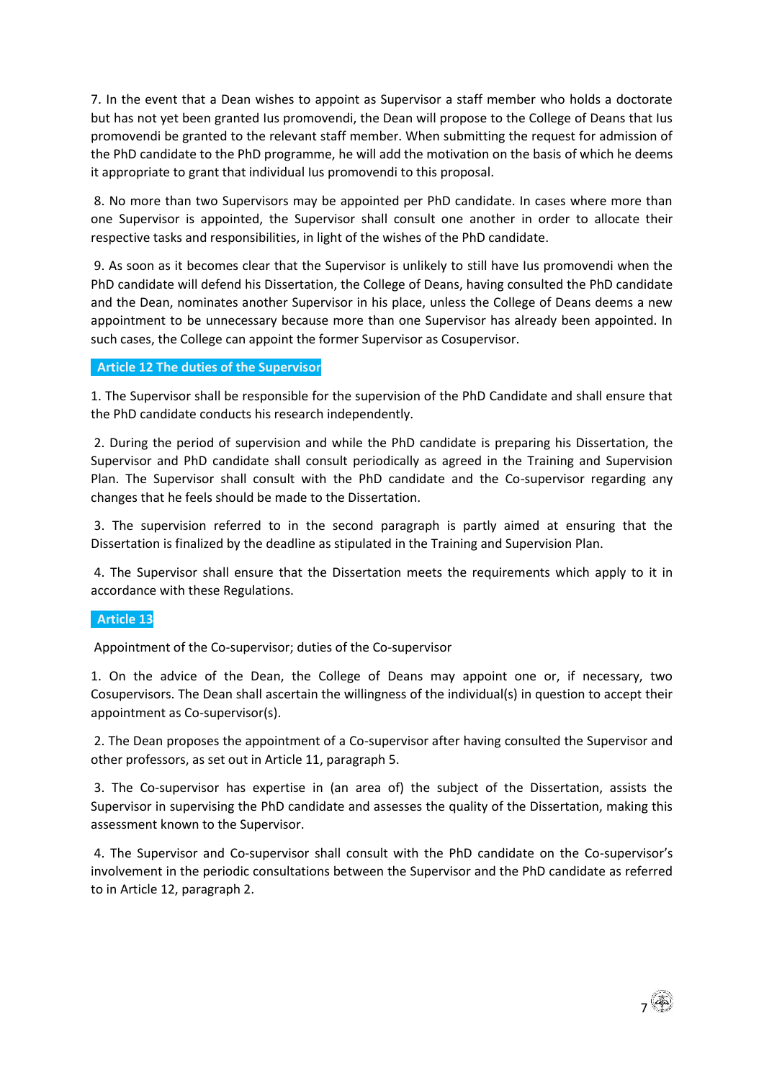7. In the event that a Dean wishes to appoint as Supervisor a staff member who holds a doctorate but has not yet been granted Ius promovendi, the Dean will propose to the College of Deans that Ius promovendi be granted to the relevant staff member. When submitting the request for admission of the PhD candidate to the PhD programme, he will add the motivation on the basis of which he deems it appropriate to grant that individual Ius promovendi to this proposal.

8. No more than two Supervisors may be appointed per PhD candidate. In cases where more than one Supervisor is appointed, the Supervisor shall consult one another in order to allocate their respective tasks and responsibilities, in light of the wishes of the PhD candidate.

9. As soon as it becomes clear that the Supervisor is unlikely to still have Ius promovendi when the PhD candidate will defend his Dissertation, the College of Deans, having consulted the PhD candidate and the Dean, nominates another Supervisor in his place, unless the College of Deans deems a new appointment to be unnecessary because more than one Supervisor has already been appointed. In such cases, the College can appoint the former Supervisor as Cosupervisor.

## **Article 12 The duties of the Supervisor**

1. The Supervisor shall be responsible for the supervision of the PhD Candidate and shall ensure that the PhD candidate conducts his research independently.

2. During the period of supervision and while the PhD candidate is preparing his Dissertation, the Supervisor and PhD candidate shall consult periodically as agreed in the Training and Supervision Plan. The Supervisor shall consult with the PhD candidate and the Co-supervisor regarding any changes that he feels should be made to the Dissertation.

3. The supervision referred to in the second paragraph is partly aimed at ensuring that the Dissertation is finalized by the deadline as stipulated in the Training and Supervision Plan.

4. The Supervisor shall ensure that the Dissertation meets the requirements which apply to it in accordance with these Regulations.

## **Article 13**

Appointment of the Co-supervisor; duties of the Co-supervisor

1. On the advice of the Dean, the College of Deans may appoint one or, if necessary, two Cosupervisors. The Dean shall ascertain the willingness of the individual(s) in question to accept their appointment as Co-supervisor(s).

2. The Dean proposes the appointment of a Co-supervisor after having consulted the Supervisor and other professors, as set out in Article 11, paragraph 5.

3. The Co-supervisor has expertise in (an area of) the subject of the Dissertation, assists the Supervisor in supervising the PhD candidate and assesses the quality of the Dissertation, making this assessment known to the Supervisor.

4. The Supervisor and Co-supervisor shall consult with the PhD candidate on the Co-supervisor's involvement in the periodic consultations between the Supervisor and the PhD candidate as referred to in Article 12, paragraph 2.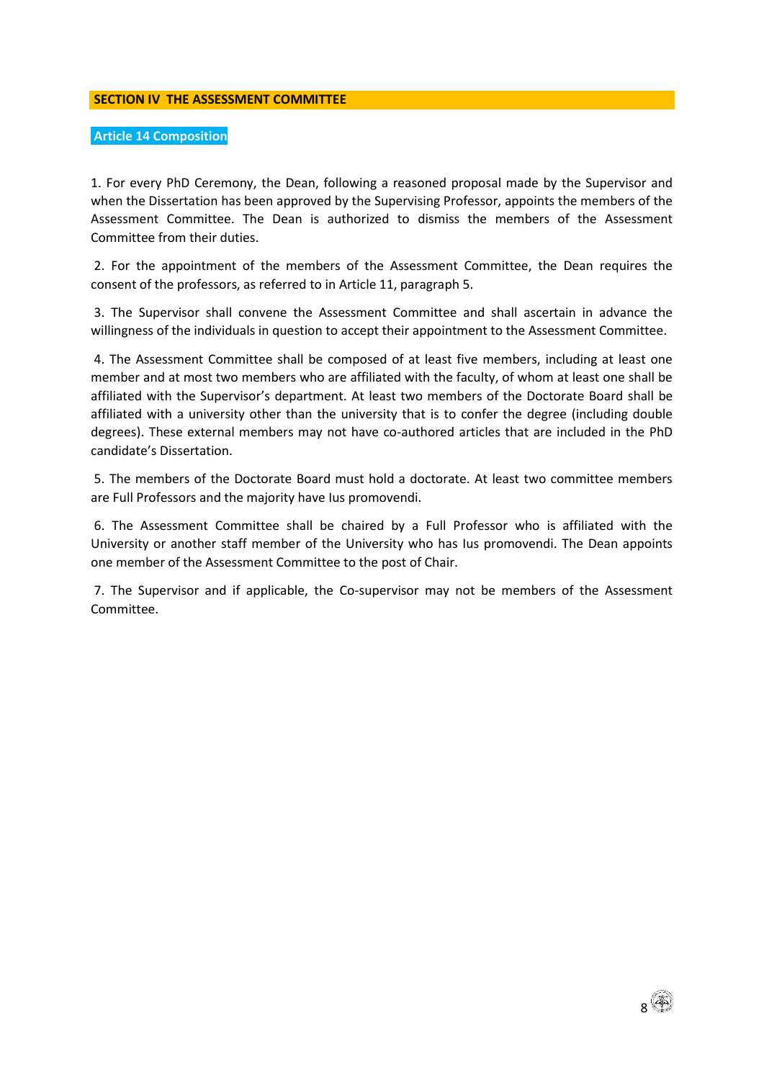### **SECTION IV THE ASSESSMENT COMMITTEE**

## **Article 14 Composition**

1. For every PhD Ceremony, the Dean, following a reasoned proposal made by the Supervisor and when the Dissertation has been approved by the Supervising Professor, appoints the members of the Assessment Committee. The Dean is authorized to dismiss the members of the Assessment Committee from their duties.

2. For the appointment of the members of the Assessment Committee, the Dean requires the consent of the professors, as referred to in Article 11, paragraph 5.

3. The Supervisor shall convene the Assessment Committee and shall ascertain in advance the willingness of the individuals in question to accept their appointment to the Assessment Committee.

4. The Assessment Committee shall be composed of at least five members, including at least one member and at most two members who are affiliated with the faculty, of whom at least one shall be affiliated with the Supervisor's department. At least two members of the Doctorate Board shall be affiliated with a university other than the university that is to confer the degree (including double degrees). These external members may not have co-authored articles that are included in the PhD candidate's Dissertation.

5. The members of the Doctorate Board must hold a doctorate. At least two committee members are Full Professors and the majority have Ius promovendi.

6. The Assessment Committee shall be chaired by a Full Professor who is affiliated with the University or another staff member of the University who has Ius promovendi. The Dean appoints one member of the Assessment Committee to the post of Chair.

7. The Supervisor and if applicable, the Co-supervisor may not be members of the Assessment Committee.

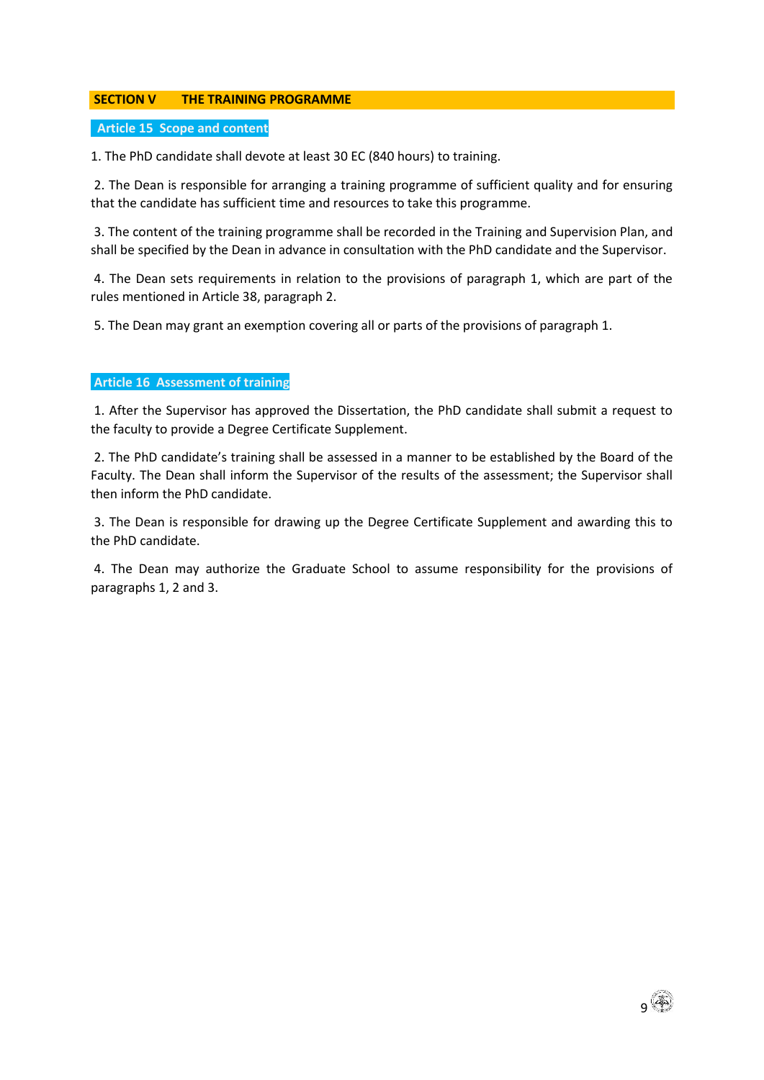## **SECTION V THE TRAINING PROGRAMME**

## **Article 15 Scope and content**

1. The PhD candidate shall devote at least 30 EC (840 hours) to training.

2. The Dean is responsible for arranging a training programme of sufficient quality and for ensuring that the candidate has sufficient time and resources to take this programme.

3. The content of the training programme shall be recorded in the Training and Supervision Plan, and shall be specified by the Dean in advance in consultation with the PhD candidate and the Supervisor.

4. The Dean sets requirements in relation to the provisions of paragraph 1, which are part of the rules mentioned in Article 38, paragraph 2.

5. The Dean may grant an exemption covering all or parts of the provisions of paragraph 1.

## **Article 16 Assessment of training**

1. After the Supervisor has approved the Dissertation, the PhD candidate shall submit a request to the faculty to provide a Degree Certificate Supplement.

2. The PhD candidate's training shall be assessed in a manner to be established by the Board of the Faculty. The Dean shall inform the Supervisor of the results of the assessment; the Supervisor shall then inform the PhD candidate.

3. The Dean is responsible for drawing up the Degree Certificate Supplement and awarding this to the PhD candidate.

4. The Dean may authorize the Graduate School to assume responsibility for the provisions of paragraphs 1, 2 and 3.

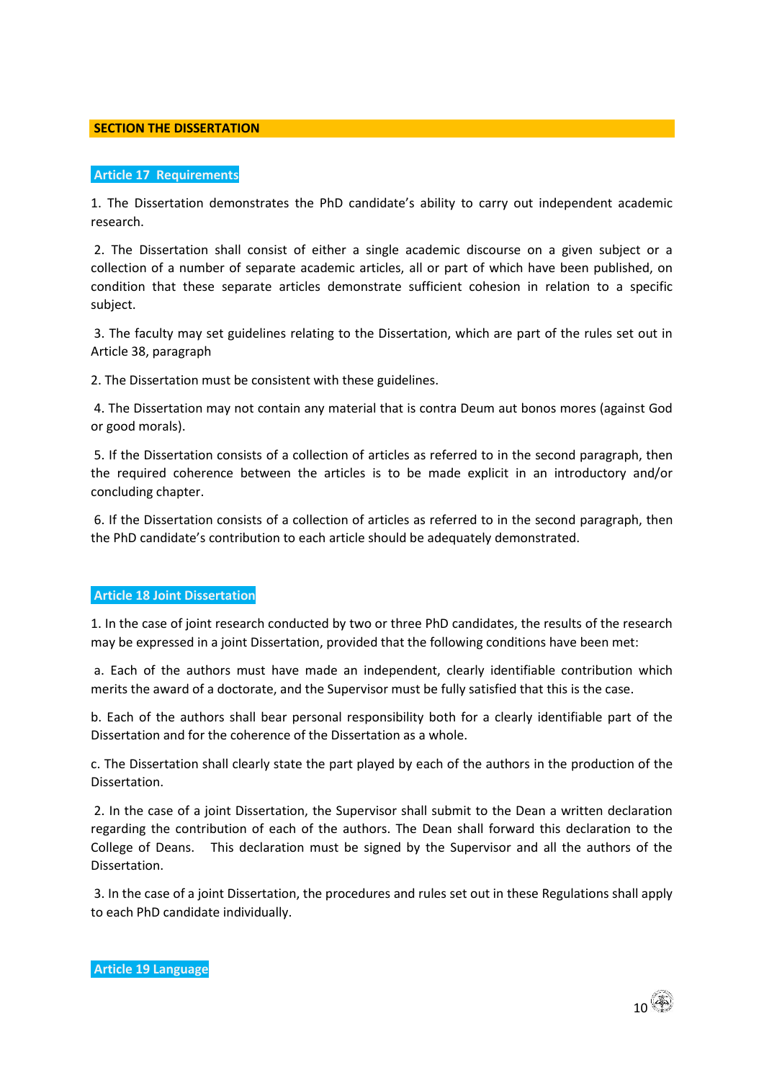#### **SECTION THE DISSERTATION**

#### **Article 17 Requirements**

1. The Dissertation demonstrates the PhD candidate's ability to carry out independent academic research.

2. The Dissertation shall consist of either a single academic discourse on a given subject or a collection of a number of separate academic articles, all or part of which have been published, on condition that these separate articles demonstrate sufficient cohesion in relation to a specific subject.

3. The faculty may set guidelines relating to the Dissertation, which are part of the rules set out in Article 38, paragraph

2. The Dissertation must be consistent with these guidelines.

4. The Dissertation may not contain any material that is contra Deum aut bonos mores (against God or good morals).

5. If the Dissertation consists of a collection of articles as referred to in the second paragraph, then the required coherence between the articles is to be made explicit in an introductory and/or concluding chapter.

6. If the Dissertation consists of a collection of articles as referred to in the second paragraph, then the PhD candidate's contribution to each article should be adequately demonstrated.

## **Article 18 Joint Dissertation**

1. In the case of joint research conducted by two or three PhD candidates, the results of the research may be expressed in a joint Dissertation, provided that the following conditions have been met:

a. Each of the authors must have made an independent, clearly identifiable contribution which merits the award of a doctorate, and the Supervisor must be fully satisfied that this is the case.

b. Each of the authors shall bear personal responsibility both for a clearly identifiable part of the Dissertation and for the coherence of the Dissertation as a whole.

c. The Dissertation shall clearly state the part played by each of the authors in the production of the Dissertation.

2. In the case of a joint Dissertation, the Supervisor shall submit to the Dean a written declaration regarding the contribution of each of the authors. The Dean shall forward this declaration to the College of Deans. This declaration must be signed by the Supervisor and all the authors of the Dissertation.

3. In the case of a joint Dissertation, the procedures and rules set out in these Regulations shall apply to each PhD candidate individually.

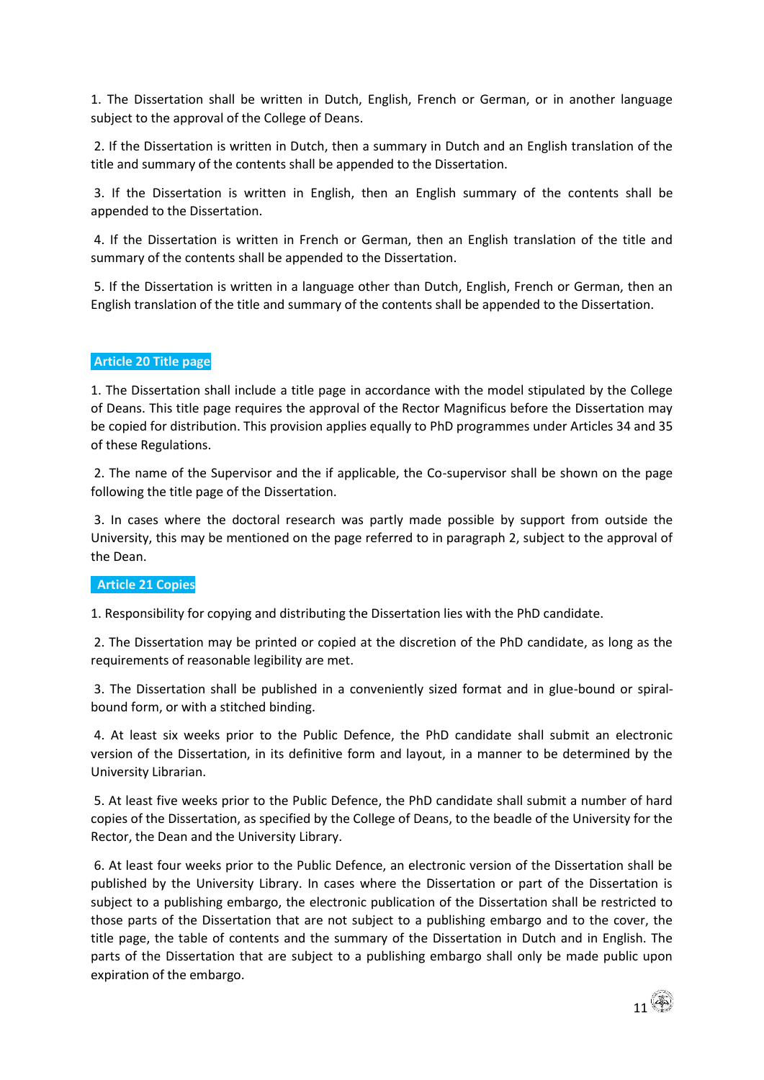1. The Dissertation shall be written in Dutch, English, French or German, or in another language subject to the approval of the College of Deans.

2. If the Dissertation is written in Dutch, then a summary in Dutch and an English translation of the title and summary of the contents shall be appended to the Dissertation.

3. If the Dissertation is written in English, then an English summary of the contents shall be appended to the Dissertation.

4. If the Dissertation is written in French or German, then an English translation of the title and summary of the contents shall be appended to the Dissertation.

5. If the Dissertation is written in a language other than Dutch, English, French or German, then an English translation of the title and summary of the contents shall be appended to the Dissertation.

## **Article 20 Title page**

1. The Dissertation shall include a title page in accordance with the model stipulated by the College of Deans. This title page requires the approval of the Rector Magnificus before the Dissertation may be copied for distribution. This provision applies equally to PhD programmes under Articles 34 and 35 of these Regulations.

2. The name of the Supervisor and the if applicable, the Co-supervisor shall be shown on the page following the title page of the Dissertation.

3. In cases where the doctoral research was partly made possible by support from outside the University, this may be mentioned on the page referred to in paragraph 2, subject to the approval of the Dean.

#### **Article 21 Copies**

1. Responsibility for copying and distributing the Dissertation lies with the PhD candidate.

2. The Dissertation may be printed or copied at the discretion of the PhD candidate, as long as the requirements of reasonable legibility are met.

3. The Dissertation shall be published in a conveniently sized format and in glue-bound or spiralbound form, or with a stitched binding.

4. At least six weeks prior to the Public Defence, the PhD candidate shall submit an electronic version of the Dissertation, in its definitive form and layout, in a manner to be determined by the University Librarian.

5. At least five weeks prior to the Public Defence, the PhD candidate shall submit a number of hard copies of the Dissertation, as specified by the College of Deans, to the beadle of the University for the Rector, the Dean and the University Library.

6. At least four weeks prior to the Public Defence, an electronic version of the Dissertation shall be published by the University Library. In cases where the Dissertation or part of the Dissertation is subject to a publishing embargo, the electronic publication of the Dissertation shall be restricted to those parts of the Dissertation that are not subject to a publishing embargo and to the cover, the title page, the table of contents and the summary of the Dissertation in Dutch and in English. The parts of the Dissertation that are subject to a publishing embargo shall only be made public upon expiration of the embargo.

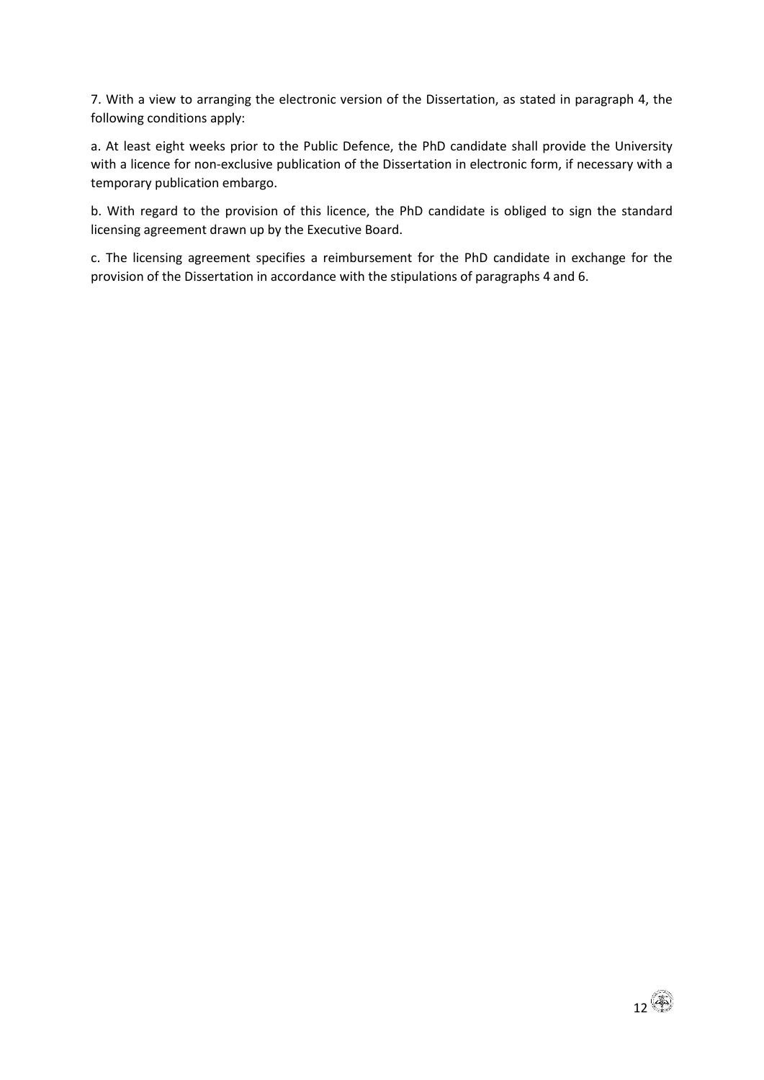7. With a view to arranging the electronic version of the Dissertation, as stated in paragraph 4, the following conditions apply:

a. At least eight weeks prior to the Public Defence, the PhD candidate shall provide the University with a licence for non-exclusive publication of the Dissertation in electronic form, if necessary with a temporary publication embargo.

b. With regard to the provision of this licence, the PhD candidate is obliged to sign the standard licensing agreement drawn up by the Executive Board.

c. The licensing agreement specifies a reimbursement for the PhD candidate in exchange for the provision of the Dissertation in accordance with the stipulations of paragraphs 4 and 6.

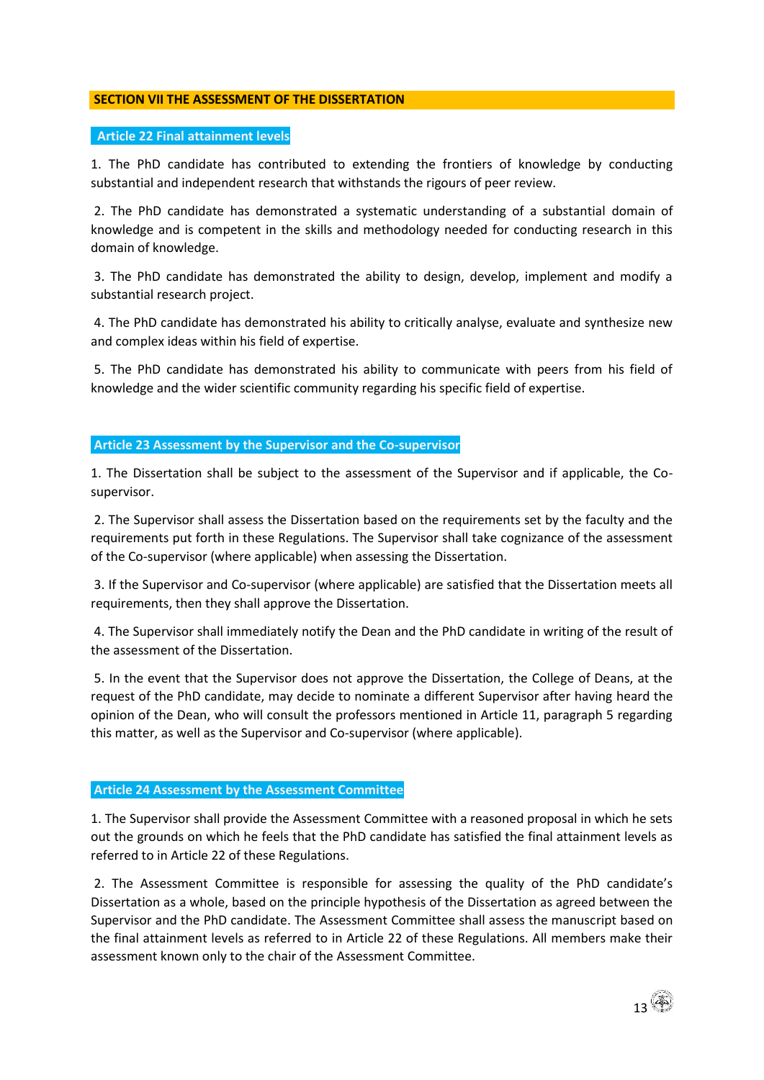## **SECTION VII THE ASSESSMENT OF THE DISSERTATION**

## **Article 22 Final attainment levels**

1. The PhD candidate has contributed to extending the frontiers of knowledge by conducting substantial and independent research that withstands the rigours of peer review.

2. The PhD candidate has demonstrated a systematic understanding of a substantial domain of knowledge and is competent in the skills and methodology needed for conducting research in this domain of knowledge.

3. The PhD candidate has demonstrated the ability to design, develop, implement and modify a substantial research project.

4. The PhD candidate has demonstrated his ability to critically analyse, evaluate and synthesize new and complex ideas within his field of expertise.

5. The PhD candidate has demonstrated his ability to communicate with peers from his field of knowledge and the wider scientific community regarding his specific field of expertise.

#### **Article 23 Assessment by the Supervisor and the Co-supervisor**

1. The Dissertation shall be subject to the assessment of the Supervisor and if applicable, the Cosupervisor.

2. The Supervisor shall assess the Dissertation based on the requirements set by the faculty and the requirements put forth in these Regulations. The Supervisor shall take cognizance of the assessment of the Co-supervisor (where applicable) when assessing the Dissertation.

3. If the Supervisor and Co-supervisor (where applicable) are satisfied that the Dissertation meets all requirements, then they shall approve the Dissertation.

4. The Supervisor shall immediately notify the Dean and the PhD candidate in writing of the result of the assessment of the Dissertation.

5. In the event that the Supervisor does not approve the Dissertation, the College of Deans, at the request of the PhD candidate, may decide to nominate a different Supervisor after having heard the opinion of the Dean, who will consult the professors mentioned in Article 11, paragraph 5 regarding this matter, as well as the Supervisor and Co-supervisor (where applicable).

## **Article 24 Assessment by the Assessment Committee**

1. The Supervisor shall provide the Assessment Committee with a reasoned proposal in which he sets out the grounds on which he feels that the PhD candidate has satisfied the final attainment levels as referred to in Article 22 of these Regulations.

2. The Assessment Committee is responsible for assessing the quality of the PhD candidate's Dissertation as a whole, based on the principle hypothesis of the Dissertation as agreed between the Supervisor and the PhD candidate. The Assessment Committee shall assess the manuscript based on the final attainment levels as referred to in Article 22 of these Regulations. All members make their assessment known only to the chair of the Assessment Committee.

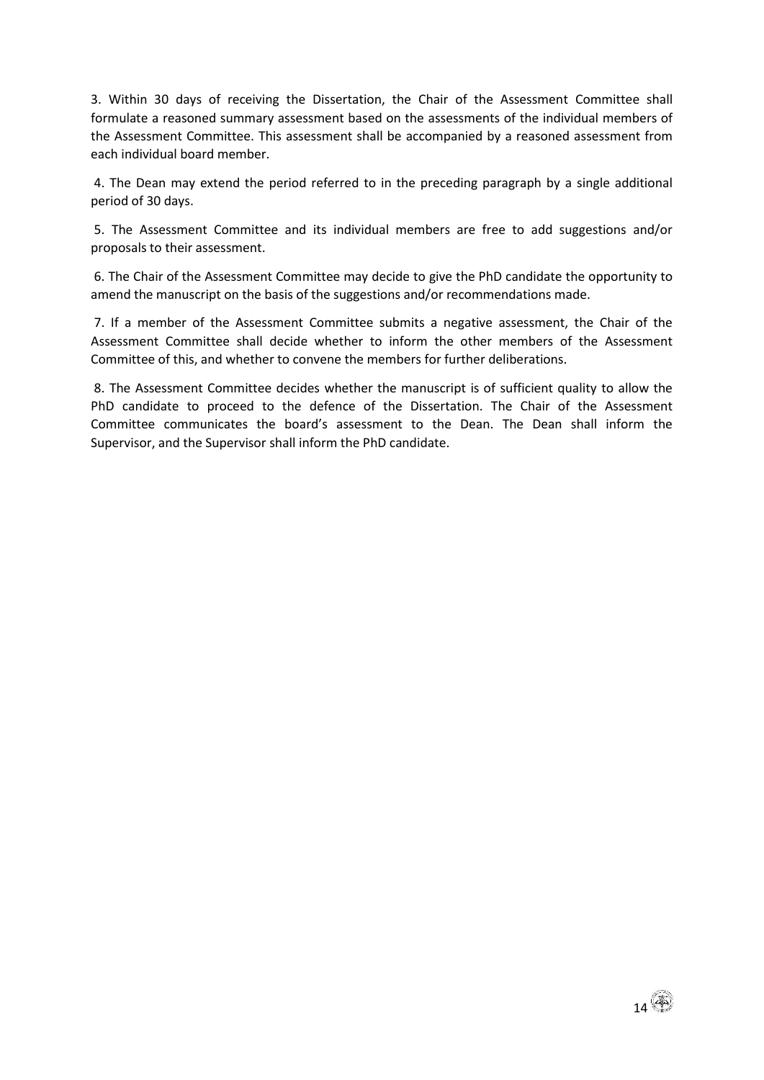3. Within 30 days of receiving the Dissertation, the Chair of the Assessment Committee shall formulate a reasoned summary assessment based on the assessments of the individual members of the Assessment Committee. This assessment shall be accompanied by a reasoned assessment from each individual board member.

4. The Dean may extend the period referred to in the preceding paragraph by a single additional period of 30 days.

5. The Assessment Committee and its individual members are free to add suggestions and/or proposals to their assessment.

6. The Chair of the Assessment Committee may decide to give the PhD candidate the opportunity to amend the manuscript on the basis of the suggestions and/or recommendations made.

7. If a member of the Assessment Committee submits a negative assessment, the Chair of the Assessment Committee shall decide whether to inform the other members of the Assessment Committee of this, and whether to convene the members for further deliberations.

8. The Assessment Committee decides whether the manuscript is of sufficient quality to allow the PhD candidate to proceed to the defence of the Dissertation. The Chair of the Assessment Committee communicates the board's assessment to the Dean. The Dean shall inform the Supervisor, and the Supervisor shall inform the PhD candidate.

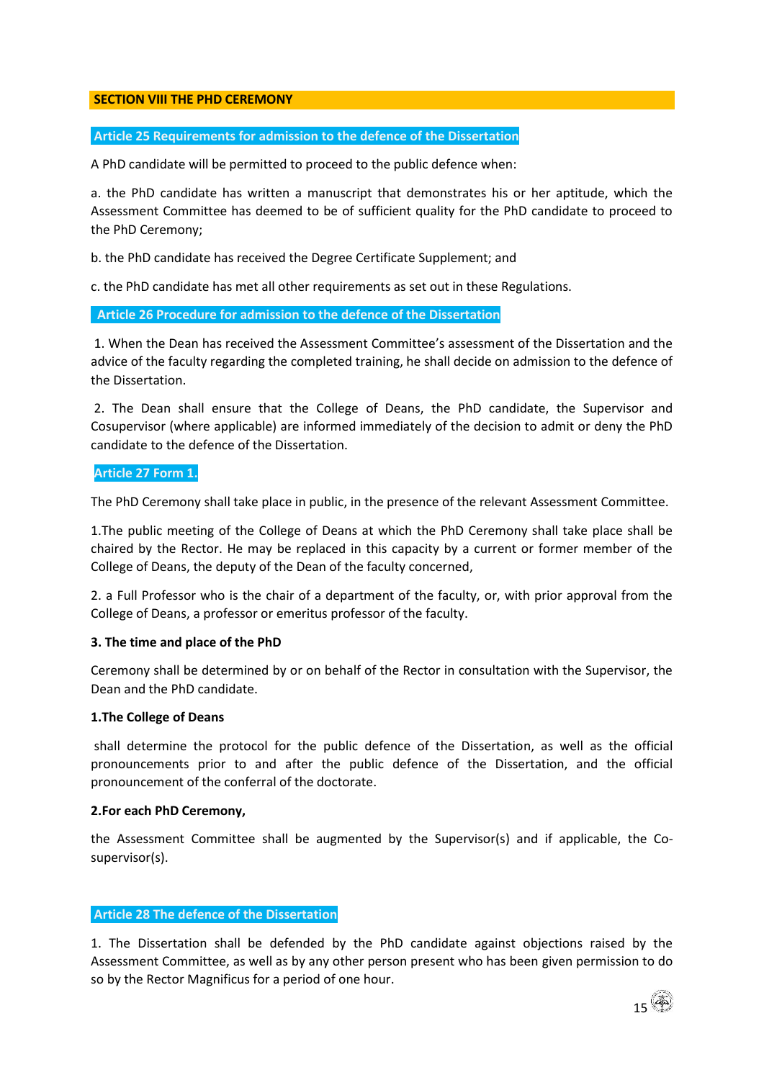## **SECTION VIII THE PHD CEREMONY**

## **Article 25 Requirements for admission to the defence of the Dissertation**

A PhD candidate will be permitted to proceed to the public defence when:

a. the PhD candidate has written a manuscript that demonstrates his or her aptitude, which the Assessment Committee has deemed to be of sufficient quality for the PhD candidate to proceed to the PhD Ceremony;

b. the PhD candidate has received the Degree Certificate Supplement; and

c. the PhD candidate has met all other requirements as set out in these Regulations.

#### **Article 26 Procedure for admission to the defence of the Dissertation**

1. When the Dean has received the Assessment Committee's assessment of the Dissertation and the advice of the faculty regarding the completed training, he shall decide on admission to the defence of the Dissertation.

2. The Dean shall ensure that the College of Deans, the PhD candidate, the Supervisor and Cosupervisor (where applicable) are informed immediately of the decision to admit or deny the PhD candidate to the defence of the Dissertation.

## **Article 27 Form 1.**

The PhD Ceremony shall take place in public, in the presence of the relevant Assessment Committee.

1.The public meeting of the College of Deans at which the PhD Ceremony shall take place shall be chaired by the Rector. He may be replaced in this capacity by a current or former member of the College of Deans, the deputy of the Dean of the faculty concerned,

2. a Full Professor who is the chair of a department of the faculty, or, with prior approval from the College of Deans, a professor or emeritus professor of the faculty.

## **3. The time and place of the PhD**

Ceremony shall be determined by or on behalf of the Rector in consultation with the Supervisor, the Dean and the PhD candidate.

## **1.The College of Deans**

shall determine the protocol for the public defence of the Dissertation, as well as the official pronouncements prior to and after the public defence of the Dissertation, and the official pronouncement of the conferral of the doctorate.

#### **2.For each PhD Ceremony,**

the Assessment Committee shall be augmented by the Supervisor(s) and if applicable, the Cosupervisor(s).

## **Article 28 The defence of the Dissertation**

1. The Dissertation shall be defended by the PhD candidate against objections raised by the Assessment Committee, as well as by any other person present who has been given permission to do so by the Rector Magnificus for a period of one hour.

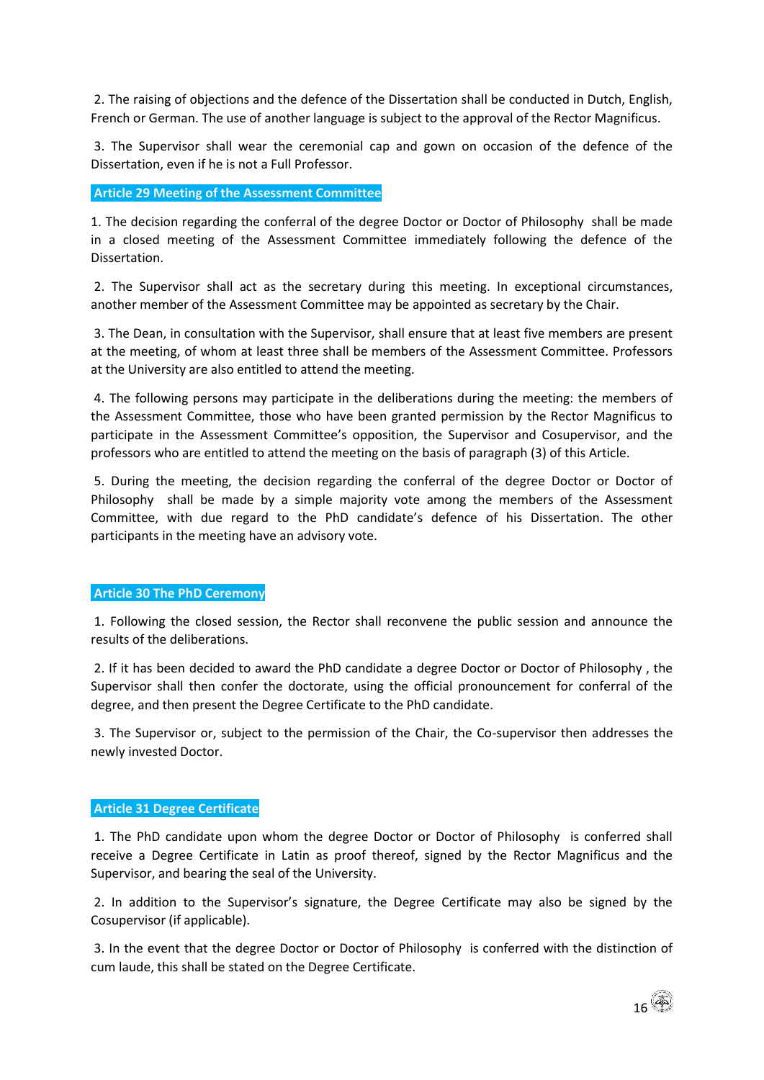2. The raising of objections and the defence of the Dissertation shall be conducted in Dutch, English, French or German. The use of another language is subject to the approval of the Rector Magnificus.

3. The Supervisor shall wear the ceremonial cap and gown on occasion of the defence of the Dissertation, even if he is not a Full Professor.

**Article 29 Meeting of the Assessment Committee**

1. The decision regarding the conferral of the degree Doctor or Doctor of Philosophy shall be made in a closed meeting of the Assessment Committee immediately following the defence of the Dissertation.

2. The Supervisor shall act as the secretary during this meeting. In exceptional circumstances, another member of the Assessment Committee may be appointed as secretary by the Chair.

3. The Dean, in consultation with the Supervisor, shall ensure that at least five members are present at the meeting, of whom at least three shall be members of the Assessment Committee. Professors at the University are also entitled to attend the meeting.

4. The following persons may participate in the deliberations during the meeting: the members of the Assessment Committee, those who have been granted permission by the Rector Magnificus to participate in the Assessment Committee's opposition, the Supervisor and Cosupervisor, and the professors who are entitled to attend the meeting on the basis of paragraph (3) of this Article.

5. During the meeting, the decision regarding the conferral of the degree Doctor or Doctor of Philosophy shall be made by a simple majority vote among the members of the Assessment Committee, with due regard to the PhD candidate's defence of his Dissertation. The other participants in the meeting have an advisory vote.

## **Article 30 The PhD Ceremony**

1. Following the closed session, the Rector shall reconvene the public session and announce the results of the deliberations.

2. If it has been decided to award the PhD candidate a degree Doctor or Doctor of Philosophy , the Supervisor shall then confer the doctorate, using the official pronouncement for conferral of the degree, and then present the Degree Certificate to the PhD candidate.

3. The Supervisor or, subject to the permission of the Chair, the Co-supervisor then addresses the newly invested Doctor.

#### **Article 31 Degree Certificate**

1. The PhD candidate upon whom the degree Doctor or Doctor of Philosophy is conferred shall receive a Degree Certificate in Latin as proof thereof, signed by the Rector Magnificus and the Supervisor, and bearing the seal of the University.

2. In addition to the Supervisor's signature, the Degree Certificate may also be signed by the Cosupervisor (if applicable).

3. In the event that the degree Doctor or Doctor of Philosophy is conferred with the distinction of cum laude, this shall be stated on the Degree Certificate.

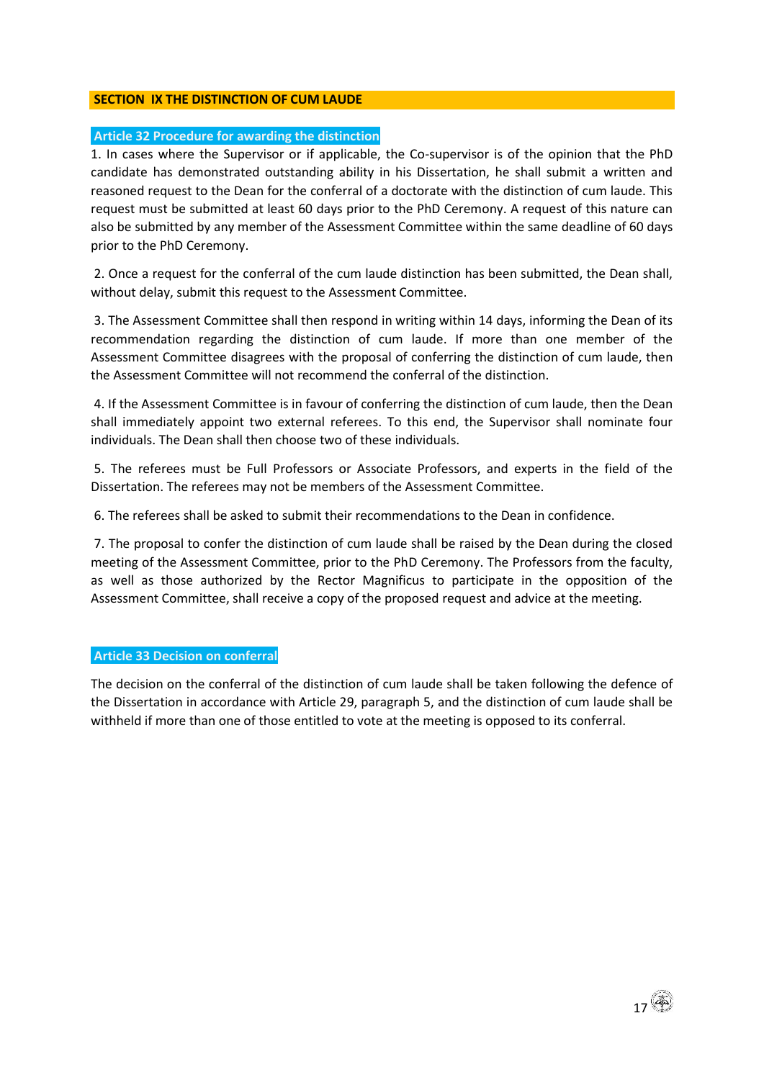## **SECTION IX THE DISTINCTION OF CUM LAUDE**

## **Article 32 Procedure for awarding the distinction**

1. In cases where the Supervisor or if applicable, the Co-supervisor is of the opinion that the PhD candidate has demonstrated outstanding ability in his Dissertation, he shall submit a written and reasoned request to the Dean for the conferral of a doctorate with the distinction of cum laude. This request must be submitted at least 60 days prior to the PhD Ceremony. A request of this nature can also be submitted by any member of the Assessment Committee within the same deadline of 60 days prior to the PhD Ceremony.

2. Once a request for the conferral of the cum laude distinction has been submitted, the Dean shall, without delay, submit this request to the Assessment Committee.

3. The Assessment Committee shall then respond in writing within 14 days, informing the Dean of its recommendation regarding the distinction of cum laude. If more than one member of the Assessment Committee disagrees with the proposal of conferring the distinction of cum laude, then the Assessment Committee will not recommend the conferral of the distinction.

4. If the Assessment Committee is in favour of conferring the distinction of cum laude, then the Dean shall immediately appoint two external referees. To this end, the Supervisor shall nominate four individuals. The Dean shall then choose two of these individuals.

5. The referees must be Full Professors or Associate Professors, and experts in the field of the Dissertation. The referees may not be members of the Assessment Committee.

6. The referees shall be asked to submit their recommendations to the Dean in confidence.

7. The proposal to confer the distinction of cum laude shall be raised by the Dean during the closed meeting of the Assessment Committee, prior to the PhD Ceremony. The Professors from the faculty, as well as those authorized by the Rector Magnificus to participate in the opposition of the Assessment Committee, shall receive a copy of the proposed request and advice at the meeting.

## **Article 33 Decision on conferral**

The decision on the conferral of the distinction of cum laude shall be taken following the defence of the Dissertation in accordance with Article 29, paragraph 5, and the distinction of cum laude shall be withheld if more than one of those entitled to vote at the meeting is opposed to its conferral.

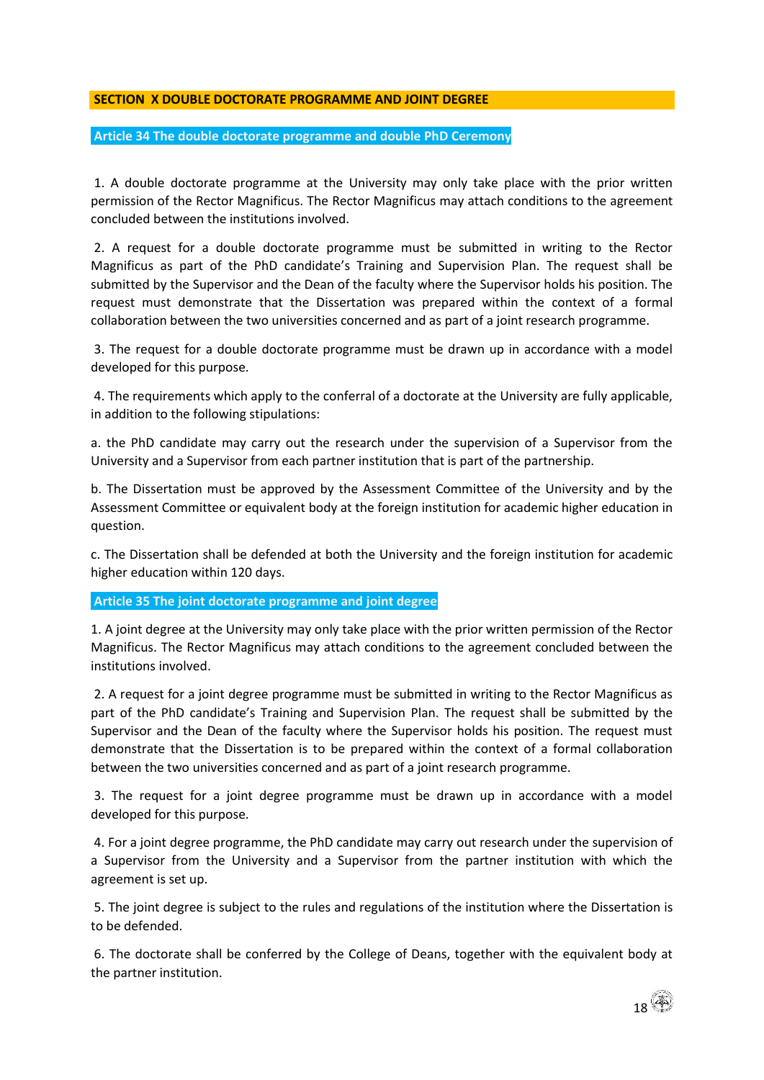## **SECTION X DOUBLE DOCTORATE PROGRAMME AND JOINT DEGREE**

#### **Article 34 The double doctorate programme and double PhD Ceremony**

1. A double doctorate programme at the University may only take place with the prior written permission of the Rector Magnificus. The Rector Magnificus may attach conditions to the agreement concluded between the institutions involved.

2. A request for a double doctorate programme must be submitted in writing to the Rector Magnificus as part of the PhD candidate's Training and Supervision Plan. The request shall be submitted by the Supervisor and the Dean of the faculty where the Supervisor holds his position. The request must demonstrate that the Dissertation was prepared within the context of a formal collaboration between the two universities concerned and as part of a joint research programme.

3. The request for a double doctorate programme must be drawn up in accordance with a model developed for this purpose.

4. The requirements which apply to the conferral of a doctorate at the University are fully applicable, in addition to the following stipulations:

a. the PhD candidate may carry out the research under the supervision of a Supervisor from the University and a Supervisor from each partner institution that is part of the partnership.

b. The Dissertation must be approved by the Assessment Committee of the University and by the Assessment Committee or equivalent body at the foreign institution for academic higher education in question.

c. The Dissertation shall be defended at both the University and the foreign institution for academic higher education within 120 days.

## **Article 35 The joint doctorate programme and joint degree**

1. A joint degree at the University may only take place with the prior written permission of the Rector Magnificus. The Rector Magnificus may attach conditions to the agreement concluded between the institutions involved.

2. A request for a joint degree programme must be submitted in writing to the Rector Magnificus as part of the PhD candidate's Training and Supervision Plan. The request shall be submitted by the Supervisor and the Dean of the faculty where the Supervisor holds his position. The request must demonstrate that the Dissertation is to be prepared within the context of a formal collaboration between the two universities concerned and as part of a joint research programme.

3. The request for a joint degree programme must be drawn up in accordance with a model developed for this purpose.

4. For a joint degree programme, the PhD candidate may carry out research under the supervision of a Supervisor from the University and a Supervisor from the partner institution with which the agreement is set up.

5. The joint degree is subject to the rules and regulations of the institution where the Dissertation is to be defended.

6. The doctorate shall be conferred by the College of Deans, together with the equivalent body at the partner institution.

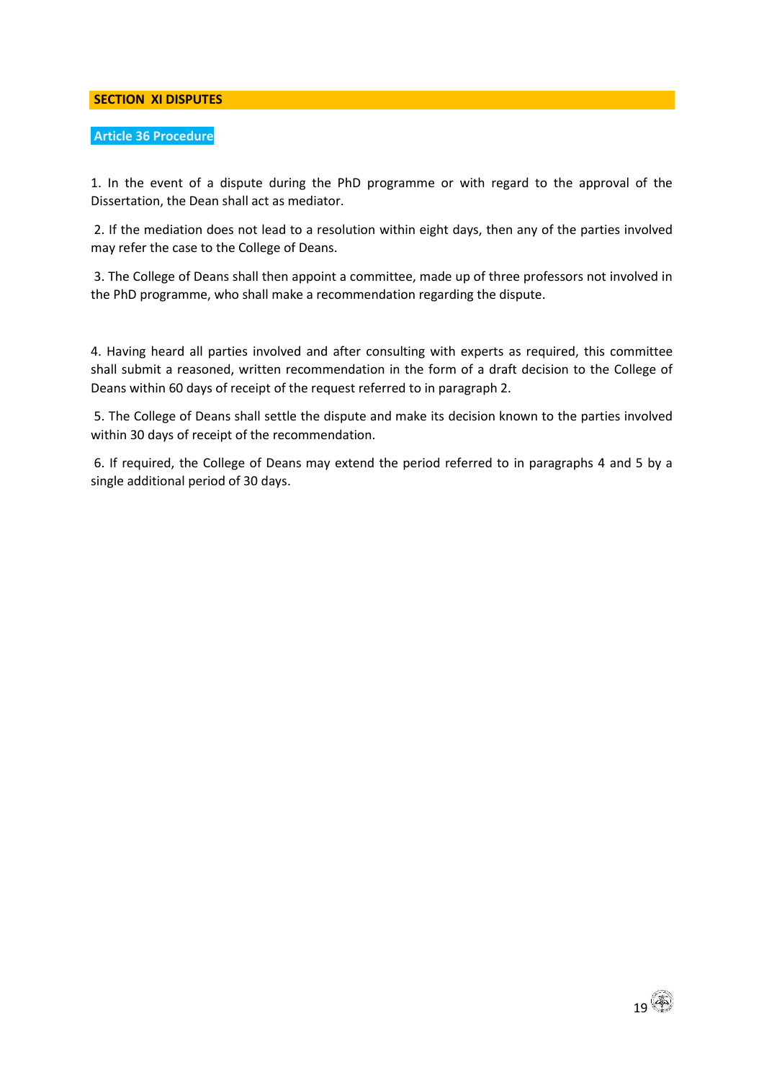**SECTION XI DISPUTES** 

## **Article 36 Procedure**

1. In the event of a dispute during the PhD programme or with regard to the approval of the Dissertation, the Dean shall act as mediator.

2. If the mediation does not lead to a resolution within eight days, then any of the parties involved may refer the case to the College of Deans.

3. The College of Deans shall then appoint a committee, made up of three professors not involved in the PhD programme, who shall make a recommendation regarding the dispute.

4. Having heard all parties involved and after consulting with experts as required, this committee shall submit a reasoned, written recommendation in the form of a draft decision to the College of Deans within 60 days of receipt of the request referred to in paragraph 2.

5. The College of Deans shall settle the dispute and make its decision known to the parties involved within 30 days of receipt of the recommendation.

6. If required, the College of Deans may extend the period referred to in paragraphs 4 and 5 by a single additional period of 30 days.

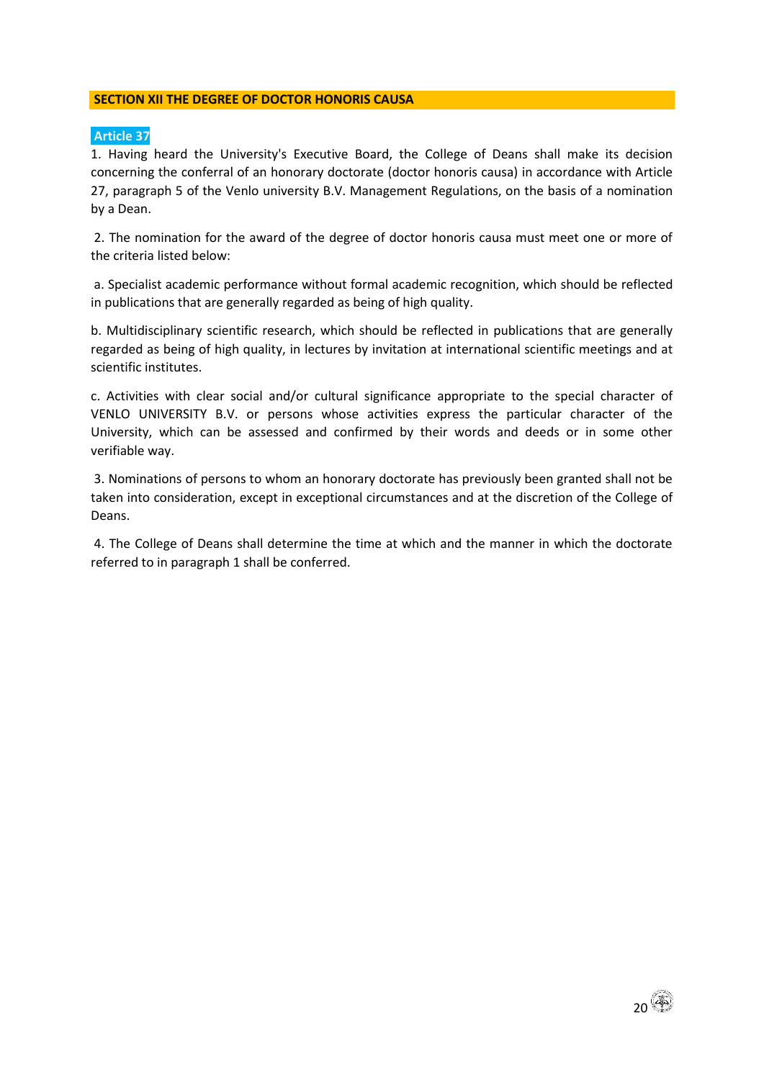## **SECTION XII THE DEGREE OF DOCTOR HONORIS CAUSA**

## **Article 37**

1. Having heard the University's Executive Board, the College of Deans shall make its decision concerning the conferral of an honorary doctorate (doctor honoris causa) in accordance with Article 27, paragraph 5 of the Venlo university B.V. Management Regulations, on the basis of a nomination by a Dean.

2. The nomination for the award of the degree of doctor honoris causa must meet one or more of the criteria listed below:

a. Specialist academic performance without formal academic recognition, which should be reflected in publications that are generally regarded as being of high quality.

b. Multidisciplinary scientific research, which should be reflected in publications that are generally regarded as being of high quality, in lectures by invitation at international scientific meetings and at scientific institutes.

c. Activities with clear social and/or cultural significance appropriate to the special character of VENLO UNIVERSITY B.V. or persons whose activities express the particular character of the University, which can be assessed and confirmed by their words and deeds or in some other verifiable way.

3. Nominations of persons to whom an honorary doctorate has previously been granted shall not be taken into consideration, except in exceptional circumstances and at the discretion of the College of Deans.

4. The College of Deans shall determine the time at which and the manner in which the doctorate referred to in paragraph 1 shall be conferred.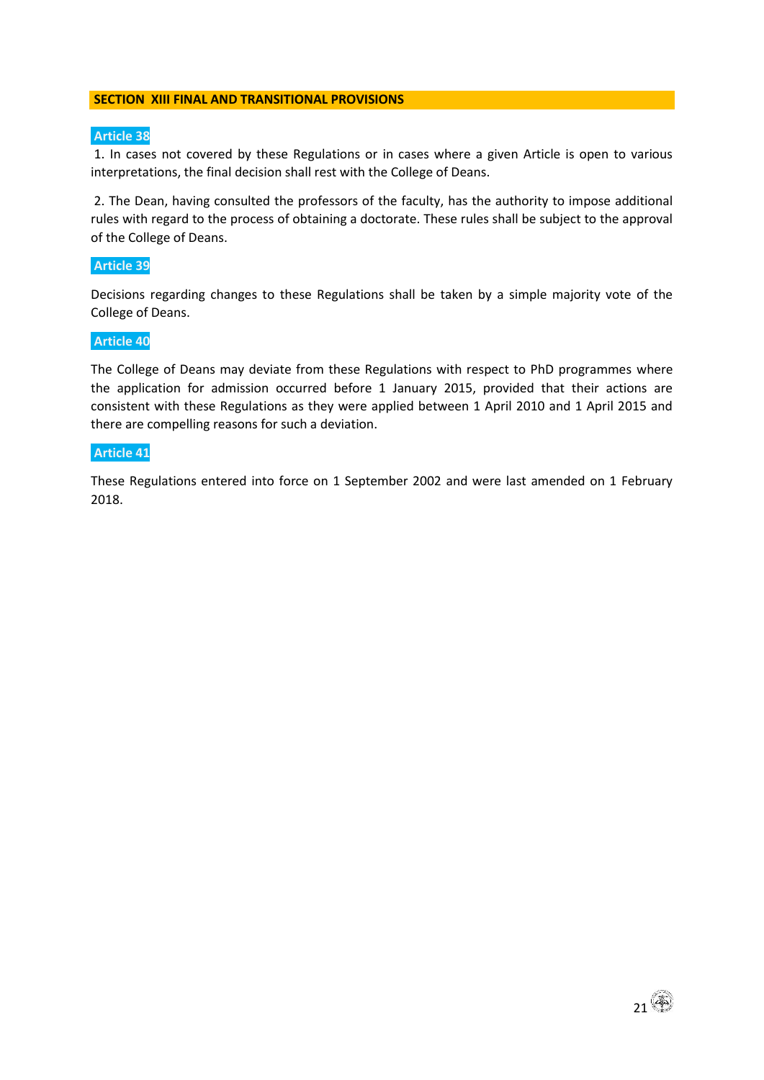#### **SECTION XIII FINAL AND TRANSITIONAL PROVISIONS**

## **Article 38**

1. In cases not covered by these Regulations or in cases where a given Article is open to various interpretations, the final decision shall rest with the College of Deans.

2. The Dean, having consulted the professors of the faculty, has the authority to impose additional rules with regard to the process of obtaining a doctorate. These rules shall be subject to the approval of the College of Deans.

#### **Article 39**

Decisions regarding changes to these Regulations shall be taken by a simple majority vote of the College of Deans.

#### **Article 40**

The College of Deans may deviate from these Regulations with respect to PhD programmes where the application for admission occurred before 1 January 2015, provided that their actions are consistent with these Regulations as they were applied between 1 April 2010 and 1 April 2015 and there are compelling reasons for such a deviation.

#### **Article 41**

These Regulations entered into force on 1 September 2002 and were last amended on 1 February 2018.

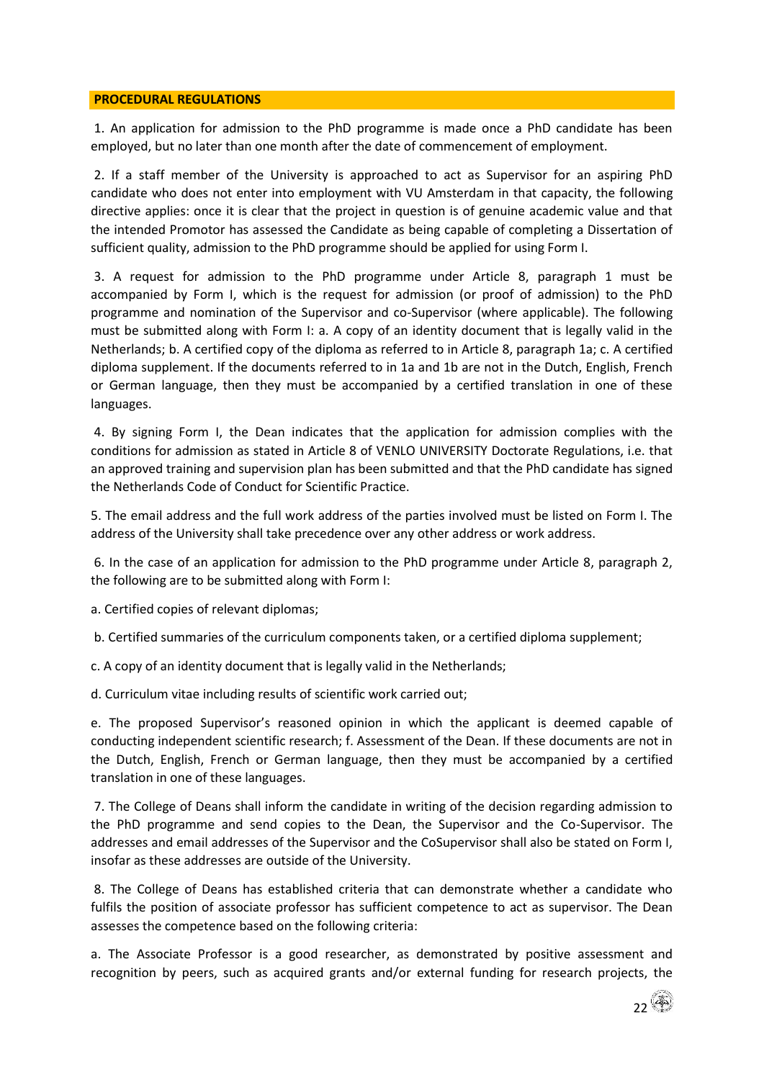#### **PROCEDURAL REGULATIONS**

1. An application for admission to the PhD programme is made once a PhD candidate has been employed, but no later than one month after the date of commencement of employment.

2. If a staff member of the University is approached to act as Supervisor for an aspiring PhD candidate who does not enter into employment with VU Amsterdam in that capacity, the following directive applies: once it is clear that the project in question is of genuine academic value and that the intended Promotor has assessed the Candidate as being capable of completing a Dissertation of sufficient quality, admission to the PhD programme should be applied for using Form I.

3. A request for admission to the PhD programme under Article 8, paragraph 1 must be accompanied by Form I, which is the request for admission (or proof of admission) to the PhD programme and nomination of the Supervisor and co-Supervisor (where applicable). The following must be submitted along with Form I: a. A copy of an identity document that is legally valid in the Netherlands; b. A certified copy of the diploma as referred to in Article 8, paragraph 1a; c. A certified diploma supplement. If the documents referred to in 1a and 1b are not in the Dutch, English, French or German language, then they must be accompanied by a certified translation in one of these languages.

4. By signing Form I, the Dean indicates that the application for admission complies with the conditions for admission as stated in Article 8 of VENLO UNIVERSITY Doctorate Regulations, i.e. that an approved training and supervision plan has been submitted and that the PhD candidate has signed the Netherlands Code of Conduct for Scientific Practice.

5. The email address and the full work address of the parties involved must be listed on Form I. The address of the University shall take precedence over any other address or work address.

6. In the case of an application for admission to the PhD programme under Article 8, paragraph 2, the following are to be submitted along with Form I:

a. Certified copies of relevant diplomas;

b. Certified summaries of the curriculum components taken, or a certified diploma supplement;

c. A copy of an identity document that is legally valid in the Netherlands;

d. Curriculum vitae including results of scientific work carried out;

e. The proposed Supervisor's reasoned opinion in which the applicant is deemed capable of conducting independent scientific research; f. Assessment of the Dean. If these documents are not in the Dutch, English, French or German language, then they must be accompanied by a certified translation in one of these languages.

7. The College of Deans shall inform the candidate in writing of the decision regarding admission to the PhD programme and send copies to the Dean, the Supervisor and the Co-Supervisor. The addresses and email addresses of the Supervisor and the CoSupervisor shall also be stated on Form I, insofar as these addresses are outside of the University.

8. The College of Deans has established criteria that can demonstrate whether a candidate who fulfils the position of associate professor has sufficient competence to act as supervisor. The Dean assesses the competence based on the following criteria:

a. The Associate Professor is a good researcher, as demonstrated by positive assessment and recognition by peers, such as acquired grants and/or external funding for research projects, the

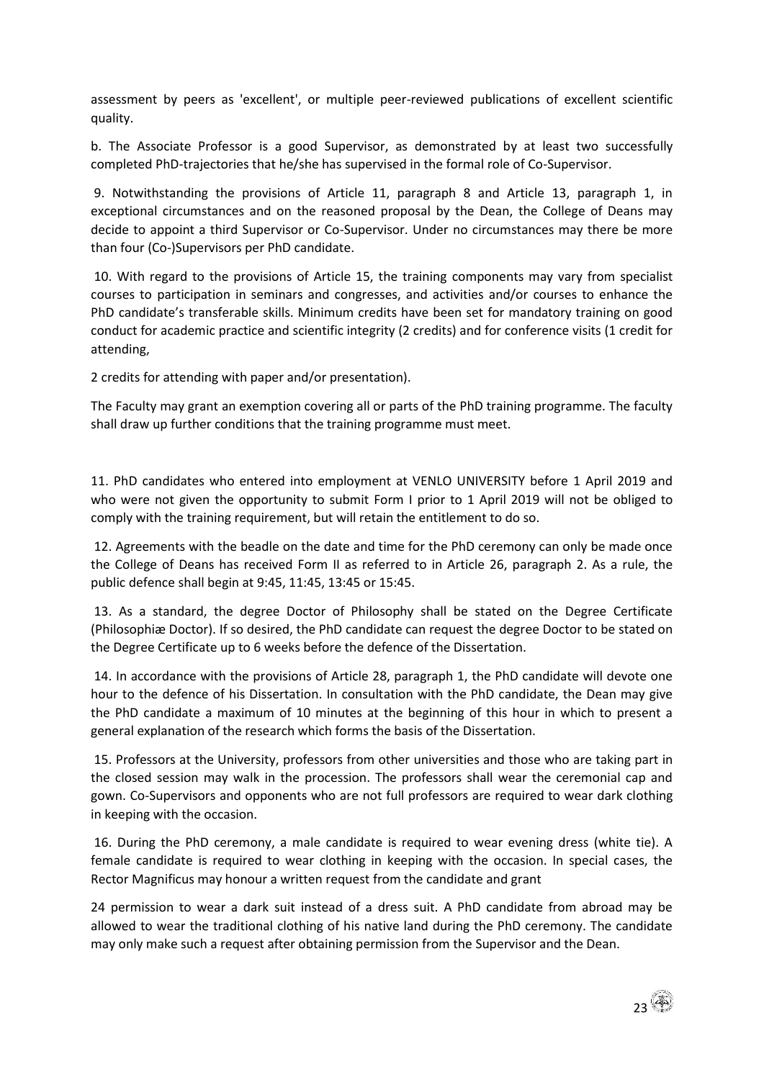assessment by peers as 'excellent', or multiple peer-reviewed publications of excellent scientific quality.

b. The Associate Professor is a good Supervisor, as demonstrated by at least two successfully completed PhD-trajectories that he/she has supervised in the formal role of Co-Supervisor.

9. Notwithstanding the provisions of Article 11, paragraph 8 and Article 13, paragraph 1, in exceptional circumstances and on the reasoned proposal by the Dean, the College of Deans may decide to appoint a third Supervisor or Co-Supervisor. Under no circumstances may there be more than four (Co-)Supervisors per PhD candidate.

10. With regard to the provisions of Article 15, the training components may vary from specialist courses to participation in seminars and congresses, and activities and/or courses to enhance the PhD candidate's transferable skills. Minimum credits have been set for mandatory training on good conduct for academic practice and scientific integrity (2 credits) and for conference visits (1 credit for attending,

2 credits for attending with paper and/or presentation).

The Faculty may grant an exemption covering all or parts of the PhD training programme. The faculty shall draw up further conditions that the training programme must meet.

11. PhD candidates who entered into employment at VENLO UNIVERSITY before 1 April 2019 and who were not given the opportunity to submit Form I prior to 1 April 2019 will not be obliged to comply with the training requirement, but will retain the entitlement to do so.

12. Agreements with the beadle on the date and time for the PhD ceremony can only be made once the College of Deans has received Form II as referred to in Article 26, paragraph 2. As a rule, the public defence shall begin at 9:45, 11:45, 13:45 or 15:45.

13. As a standard, the degree Doctor of Philosophy shall be stated on the Degree Certificate (Philosophiæ Doctor). If so desired, the PhD candidate can request the degree Doctor to be stated on the Degree Certificate up to 6 weeks before the defence of the Dissertation.

14. In accordance with the provisions of Article 28, paragraph 1, the PhD candidate will devote one hour to the defence of his Dissertation. In consultation with the PhD candidate, the Dean may give the PhD candidate a maximum of 10 minutes at the beginning of this hour in which to present a general explanation of the research which forms the basis of the Dissertation.

15. Professors at the University, professors from other universities and those who are taking part in the closed session may walk in the procession. The professors shall wear the ceremonial cap and gown. Co-Supervisors and opponents who are not full professors are required to wear dark clothing in keeping with the occasion.

16. During the PhD ceremony, a male candidate is required to wear evening dress (white tie). A female candidate is required to wear clothing in keeping with the occasion. In special cases, the Rector Magnificus may honour a written request from the candidate and grant

24 permission to wear a dark suit instead of a dress suit. A PhD candidate from abroad may be allowed to wear the traditional clothing of his native land during the PhD ceremony. The candidate may only make such a request after obtaining permission from the Supervisor and the Dean.